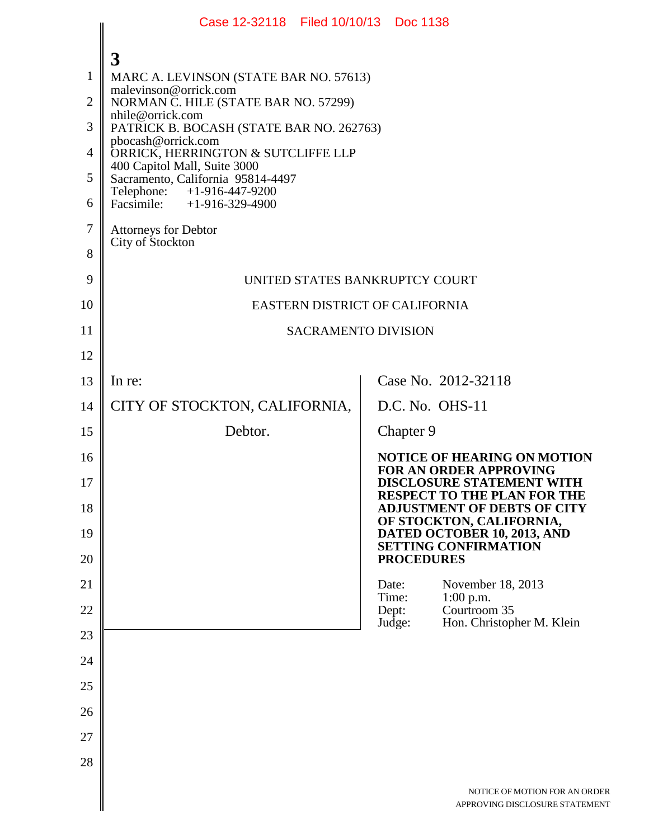|                | Case 12-32118 Filed 10/10/13 Doc 1138                             |                                                                                 |  |  |
|----------------|-------------------------------------------------------------------|---------------------------------------------------------------------------------|--|--|
|                | 3                                                                 |                                                                                 |  |  |
| $\mathbf{1}$   | MARC A. LEVINSON (STATE BAR NO. 57613)                            |                                                                                 |  |  |
| $\overline{2}$ | malevinson@orrick.com<br>NORMAN C. HILE (STATE BAR NO. 57299)     |                                                                                 |  |  |
| 3              | nhile@orrick.com<br>PATRICK B. BOCASH (STATE BAR NO. 262763)      |                                                                                 |  |  |
| $\overline{4}$ | pbocash@orrick.com<br>ORRICK, HERRINGTON & SUTCLIFFE LLP          |                                                                                 |  |  |
| 5              | 400 Capitol Mall, Suite 3000<br>Sacramento, California 95814-4497 |                                                                                 |  |  |
| 6              | Telephone: +1-916-447-9200<br>Facsimile: +1-916-329-4900          |                                                                                 |  |  |
| $\tau$         | <b>Attorneys for Debtor</b>                                       |                                                                                 |  |  |
| 8              | City of Stockton                                                  |                                                                                 |  |  |
| 9              | UNITED STATES BANKRUPTCY COURT                                    |                                                                                 |  |  |
| 10             | EASTERN DISTRICT OF CALIFORNIA                                    |                                                                                 |  |  |
| 11             | <b>SACRAMENTO DIVISION</b>                                        |                                                                                 |  |  |
| 12             |                                                                   |                                                                                 |  |  |
| 13             | In re:                                                            | Case No. 2012-32118                                                             |  |  |
| 14             | CITY OF STOCKTON, CALIFORNIA,                                     | D.C. No. OHS-11                                                                 |  |  |
| 15             | Debtor.                                                           | Chapter 9                                                                       |  |  |
| 16             |                                                                   | NOTICE OF HEARING ON MOTION<br><b>FOR AN ORDER APPROVING</b>                    |  |  |
| 17             |                                                                   | <b>DISCLOSURE STATEMENT WITH</b><br><b>RESPECT TO THE PLAN FOR THE</b>          |  |  |
| 18             |                                                                   | <b>ADJUSTMENT OF DEBTS OF CITY</b><br>OF STOCKTON, CALIFORNIA,                  |  |  |
| 19<br>20       |                                                                   | DATED OCTOBER 10, 2013, AND<br><b>SETTING CONFIRMATION</b><br><b>PROCEDURES</b> |  |  |
| 21             |                                                                   | Date:<br>November 18, 2013                                                      |  |  |
| 22             |                                                                   | Time:<br>$1:00$ p.m.<br>Courtroom 35<br>Dept:                                   |  |  |
| 23             |                                                                   | Hon. Christopher M. Klein<br>Judge:                                             |  |  |
| 24             |                                                                   |                                                                                 |  |  |
| 25             |                                                                   |                                                                                 |  |  |
| 26             |                                                                   |                                                                                 |  |  |
| 27             |                                                                   |                                                                                 |  |  |
| 28             |                                                                   |                                                                                 |  |  |
|                |                                                                   | NOTICE OF MOTION FOR AN ORE<br>APPROVING DISCLOSURE STATEME                     |  |  |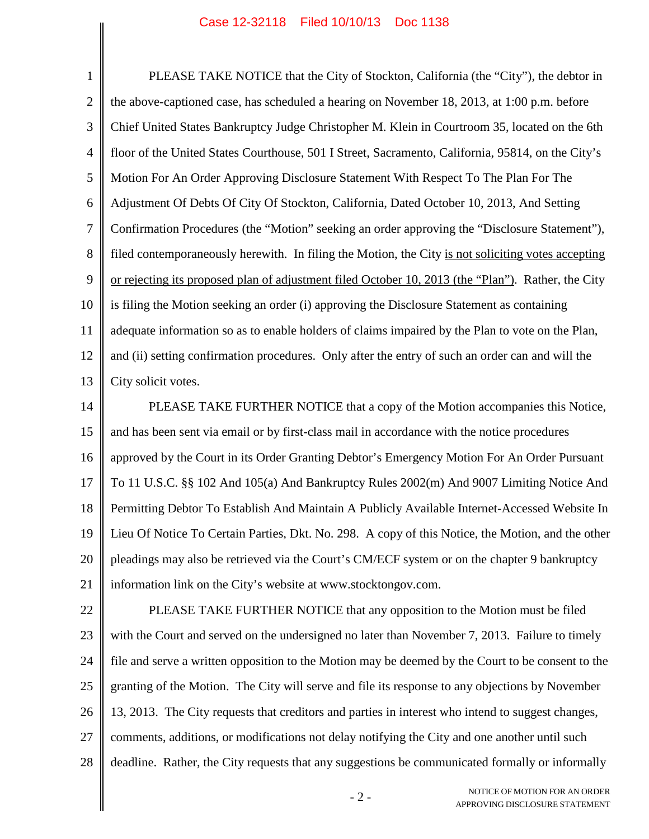## Case 12-32118 Filed 10/10/13 Doc 1138

1 2 3 4 5 6 7 8 9 10 11 12 13 PLEASE TAKE NOTICE that the City of Stockton, California (the "City"), the debtor in the above-captioned case, has scheduled a hearing on November 18, 2013, at 1:00 p.m. before Chief United States Bankruptcy Judge Christopher M. Klein in Courtroom 35, located on the 6th floor of the United States Courthouse, 501 I Street, Sacramento, California, 95814, on the City's Motion For An Order Approving Disclosure Statement With Respect To The Plan For The Adjustment Of Debts Of City Of Stockton, California, Dated October 10, 2013, And Setting Confirmation Procedures (the "Motion" seeking an order approving the "Disclosure Statement"), filed contemporaneously herewith. In filing the Motion, the City is not soliciting votes accepting or rejecting its proposed plan of adjustment filed October 10, 2013 (the "Plan"). Rather, the City is filing the Motion seeking an order (i) approving the Disclosure Statement as containing adequate information so as to enable holders of claims impaired by the Plan to vote on the Plan, and (ii) setting confirmation procedures. Only after the entry of such an order can and will the City solicit votes.

14 15 16 17 18 19 20 21 PLEASE TAKE FURTHER NOTICE that a copy of the Motion accompanies this Notice, and has been sent via email or by first-class mail in accordance with the notice procedures approved by the Court in its Order Granting Debtor's Emergency Motion For An Order Pursuant To 11 U.S.C. §§ 102 And 105(a) And Bankruptcy Rules 2002(m) And 9007 Limiting Notice And Permitting Debtor To Establish And Maintain A Publicly Available Internet-Accessed Website In Lieu Of Notice To Certain Parties, Dkt. No. 298. A copy of this Notice, the Motion, and the other pleadings may also be retrieved via the Court's CM/ECF system or on the chapter 9 bankruptcy information link on the City's website at www.stocktongov.com.

22 23 24 25 26 27 28 PLEASE TAKE FURTHER NOTICE that any opposition to the Motion must be filed with the Court and served on the undersigned no later than November 7, 2013. Failure to timely file and serve a written opposition to the Motion may be deemed by the Court to be consent to the granting of the Motion. The City will serve and file its response to any objections by November 13, 2013. The City requests that creditors and parties in interest who intend to suggest changes, comments, additions, or modifications not delay notifying the City and one another until such deadline. Rather, the City requests that any suggestions be communicated formally or informally